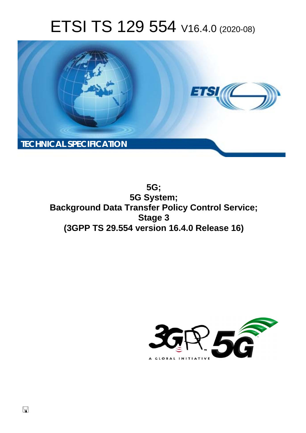# ETSI TS 129 554 V16.4.0 (2020-08)



**5G; 5G System; Background Data Transfer Policy Control Service; Stage 3 (3GPP TS 29.554 version 16.4.0 Release 16)** 

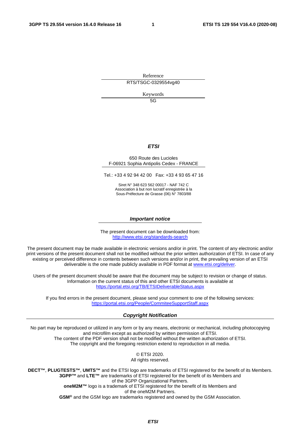Reference RTS/TSGC-0329554vg40

Keywords

5G

#### *ETSI*

#### 650 Route des Lucioles F-06921 Sophia Antipolis Cedex - FRANCE

Tel.: +33 4 92 94 42 00 Fax: +33 4 93 65 47 16

Siret N° 348 623 562 00017 - NAF 742 C Association à but non lucratif enregistrée à la Sous-Préfecture de Grasse (06) N° 7803/88

#### *Important notice*

The present document can be downloaded from: <http://www.etsi.org/standards-search>

The present document may be made available in electronic versions and/or in print. The content of any electronic and/or print versions of the present document shall not be modified without the prior written authorization of ETSI. In case of any existing or perceived difference in contents between such versions and/or in print, the prevailing version of an ETSI deliverable is the one made publicly available in PDF format at [www.etsi.org/deliver.](http://www.etsi.org/deliver)

Users of the present document should be aware that the document may be subject to revision or change of status. Information on the current status of this and other ETSI documents is available at <https://portal.etsi.org/TB/ETSIDeliverableStatus.aspx>

If you find errors in the present document, please send your comment to one of the following services: <https://portal.etsi.org/People/CommiteeSupportStaff.aspx>

#### *Copyright Notification*

No part may be reproduced or utilized in any form or by any means, electronic or mechanical, including photocopying and microfilm except as authorized by written permission of ETSI. The content of the PDF version shall not be modified without the written authorization of ETSI. The copyright and the foregoing restriction extend to reproduction in all media.

> © ETSI 2020. All rights reserved.

**DECT™**, **PLUGTESTS™**, **UMTS™** and the ETSI logo are trademarks of ETSI registered for the benefit of its Members. **3GPP™** and **LTE™** are trademarks of ETSI registered for the benefit of its Members and of the 3GPP Organizational Partners. **oneM2M™** logo is a trademark of ETSI registered for the benefit of its Members and of the oneM2M Partners. **GSM®** and the GSM logo are trademarks registered and owned by the GSM Association.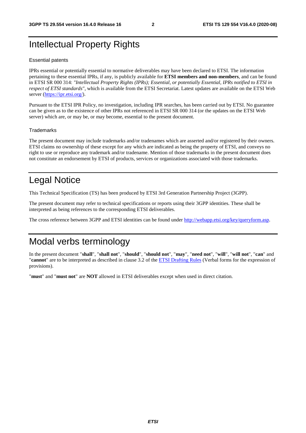# Intellectual Property Rights

#### Essential patents

IPRs essential or potentially essential to normative deliverables may have been declared to ETSI. The information pertaining to these essential IPRs, if any, is publicly available for **ETSI members and non-members**, and can be found in ETSI SR 000 314: *"Intellectual Property Rights (IPRs); Essential, or potentially Essential, IPRs notified to ETSI in respect of ETSI standards"*, which is available from the ETSI Secretariat. Latest updates are available on the ETSI Web server [\(https://ipr.etsi.org/](https://ipr.etsi.org/)).

Pursuant to the ETSI IPR Policy, no investigation, including IPR searches, has been carried out by ETSI. No guarantee can be given as to the existence of other IPRs not referenced in ETSI SR 000 314 (or the updates on the ETSI Web server) which are, or may be, or may become, essential to the present document.

#### **Trademarks**

The present document may include trademarks and/or tradenames which are asserted and/or registered by their owners. ETSI claims no ownership of these except for any which are indicated as being the property of ETSI, and conveys no right to use or reproduce any trademark and/or tradename. Mention of those trademarks in the present document does not constitute an endorsement by ETSI of products, services or organizations associated with those trademarks.

# Legal Notice

This Technical Specification (TS) has been produced by ETSI 3rd Generation Partnership Project (3GPP).

The present document may refer to technical specifications or reports using their 3GPP identities. These shall be interpreted as being references to the corresponding ETSI deliverables.

The cross reference between 3GPP and ETSI identities can be found under<http://webapp.etsi.org/key/queryform.asp>.

# Modal verbs terminology

In the present document "**shall**", "**shall not**", "**should**", "**should not**", "**may**", "**need not**", "**will**", "**will not**", "**can**" and "**cannot**" are to be interpreted as described in clause 3.2 of the [ETSI Drafting Rules](https://portal.etsi.org/Services/editHelp!/Howtostart/ETSIDraftingRules.aspx) (Verbal forms for the expression of provisions).

"**must**" and "**must not**" are **NOT** allowed in ETSI deliverables except when used in direct citation.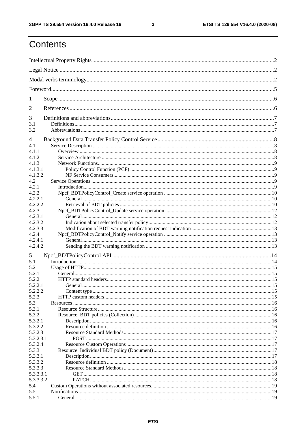$\mathbf{3}$ 

# Contents

| 1         |         |  |
|-----------|---------|--|
| 2         |         |  |
| 3         |         |  |
| 3.1       |         |  |
| 3.2       |         |  |
| 4         |         |  |
| 4.1       |         |  |
| 4.1.1     |         |  |
| 4.1.2     |         |  |
| 4.1.3     |         |  |
| 4.1.3.1   |         |  |
| 4.1.3.2   |         |  |
| 4.2       |         |  |
| 4.2.1     |         |  |
| 4.2.2     |         |  |
| 4.2.2.1   |         |  |
| 4.2.2.2   |         |  |
| 4.2.3     |         |  |
| 4.2.3.1   |         |  |
| 4.2.3.2   |         |  |
| 4.2.3.3   |         |  |
| 4.2.4     |         |  |
| 4.2.4.1   |         |  |
| 4.2.4.2   |         |  |
| 5         |         |  |
| 5.1       |         |  |
| 5.2       |         |  |
| 5.2.1     |         |  |
| 5.2.2     |         |  |
| 5.2.2.1   | General |  |
| 5.2.2.2   |         |  |
|           |         |  |
| 5.2.3     |         |  |
| 5.3       |         |  |
| 5.3.1     |         |  |
| 5.3.2     |         |  |
| 5.3.2.1   |         |  |
| 5.3.2.2   |         |  |
| 5.3.2.3   |         |  |
| 5.3.2.3.1 |         |  |
| 5.3.2.4   |         |  |
| 5.3.3     |         |  |
| 5.3.3.1   |         |  |
| 5.3.3.2   |         |  |
| 5.3.3.3   |         |  |
| 5.3.3.3.1 |         |  |
| 5.3.3.3.2 |         |  |
| 5.4       |         |  |
| 5.5       |         |  |
| 5.5.1     |         |  |
|           |         |  |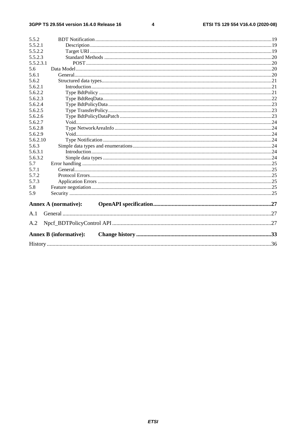$\overline{\mathbf{4}}$ 

| 5.5.2     |                               |  |  |  |  |  |  |  |
|-----------|-------------------------------|--|--|--|--|--|--|--|
| 5.5.2.1   |                               |  |  |  |  |  |  |  |
| 5.5.2.2   |                               |  |  |  |  |  |  |  |
| 5.5.2.3   |                               |  |  |  |  |  |  |  |
| 5.5.2.3.1 |                               |  |  |  |  |  |  |  |
| 5.6       |                               |  |  |  |  |  |  |  |
| 5.6.1     |                               |  |  |  |  |  |  |  |
| 5.6.2     |                               |  |  |  |  |  |  |  |
| 5.6.2.1   |                               |  |  |  |  |  |  |  |
| 5.6.2.2   |                               |  |  |  |  |  |  |  |
| 5.6.2.3   |                               |  |  |  |  |  |  |  |
| 5.6.2.4   |                               |  |  |  |  |  |  |  |
| 5.6.2.5   |                               |  |  |  |  |  |  |  |
| 5.6.2.6   |                               |  |  |  |  |  |  |  |
| 5.6.2.7   |                               |  |  |  |  |  |  |  |
| 5.6.2.8   |                               |  |  |  |  |  |  |  |
| 5.6.2.9   |                               |  |  |  |  |  |  |  |
| 5.6.2.10  |                               |  |  |  |  |  |  |  |
| 5.6.3     |                               |  |  |  |  |  |  |  |
| 5.6.3.1   |                               |  |  |  |  |  |  |  |
| 5.6.3.2   |                               |  |  |  |  |  |  |  |
| 5.7       |                               |  |  |  |  |  |  |  |
| 5.7.1     |                               |  |  |  |  |  |  |  |
| 5.7.2     |                               |  |  |  |  |  |  |  |
| 5.7.3     |                               |  |  |  |  |  |  |  |
| 5.8       |                               |  |  |  |  |  |  |  |
| 5.9       |                               |  |  |  |  |  |  |  |
|           | <b>Annex A (normative):</b>   |  |  |  |  |  |  |  |
| A.1       |                               |  |  |  |  |  |  |  |
| A.2       |                               |  |  |  |  |  |  |  |
|           | <b>Annex B</b> (informative): |  |  |  |  |  |  |  |
|           |                               |  |  |  |  |  |  |  |
|           |                               |  |  |  |  |  |  |  |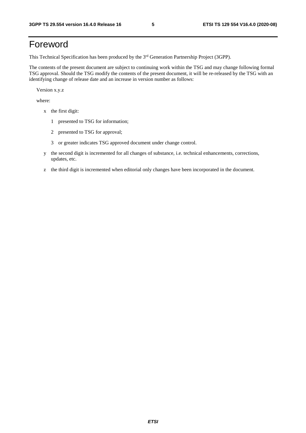# Foreword

This Technical Specification has been produced by the 3<sup>rd</sup> Generation Partnership Project (3GPP).

The contents of the present document are subject to continuing work within the TSG and may change following formal TSG approval. Should the TSG modify the contents of the present document, it will be re-released by the TSG with an identifying change of release date and an increase in version number as follows:

Version x.y.z

where:

- x the first digit:
	- 1 presented to TSG for information;
	- 2 presented to TSG for approval;
	- 3 or greater indicates TSG approved document under change control.
- y the second digit is incremented for all changes of substance, i.e. technical enhancements, corrections, updates, etc.
- z the third digit is incremented when editorial only changes have been incorporated in the document.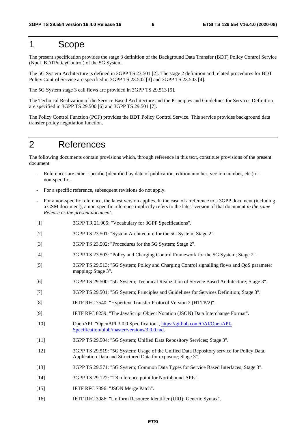# 1 Scope

The present specification provides the stage 3 definition of the Background Data Transfer (BDT) Policy Control Service (Npcf\_BDTPolicyControl) of the 5G System.

The 5G System Architecture is defined in 3GPP TS 23.501 [2]. The stage 2 definition and related procedures for BDT Policy Control Service are specified in 3GPP TS 23.502 [3] and 3GPP TS 23.503 [4].

The 5G System stage 3 call flows are provided in 3GPP TS 29.513 [5].

The Technical Realization of the Service Based Architecture and the Principles and Guidelines for Services Definition are specified in 3GPP TS 29.500 [6] and 3GPP TS 29.501 [7].

The Policy Control Function (PCF) provides the BDT Policy Control Service. This service provides background data transfer policy negotiation function.

# 2 References

The following documents contain provisions which, through reference in this text, constitute provisions of the present document.

- References are either specific (identified by date of publication, edition number, version number, etc.) or non-specific.
- For a specific reference, subsequent revisions do not apply.
- For a non-specific reference, the latest version applies. In the case of a reference to a 3GPP document (including a GSM document), a non-specific reference implicitly refers to the latest version of that document *in the same Release as the present document*.
- [1] 3GPP TR 21.905: "Vocabulary for 3GPP Specifications".
- [2] 3GPP TS 23.501: "System Architecture for the 5G System; Stage 2".
- [3] 3GPP TS 23.502: "Procedures for the 5G System; Stage 2".
- [4] 3GPP TS 23.503: "Policy and Charging Control Framework for the 5G System; Stage 2".
- [5] 3GPP TS 29.513: "5G System; Policy and Charging Control signalling flows and QoS parameter mapping; Stage 3".
- [6] 3GPP TS 29.500: "5G System; Technical Realization of Service Based Architecture; Stage 3".
- [7] 3GPP TS 29.501: "5G System; Principles and Guidelines for Services Definition; Stage 3".
- [8] IETF RFC 7540: "Hypertext Transfer Protocol Version 2 (HTTP/2)".
- [9] IETF RFC 8259: "The JavaScript Object Notation (JSON) Data Interchange Format".
- [10] OpenAPI: "OpenAPI 3.0.0 Specification", [https://github.com/OAI/OpenAPI](https://github.com/OAI/OpenAPI-Specification/blob/master/versions/3.0.0.md)-[Specification/blob/master/versions/3.0.0.md](https://github.com/OAI/OpenAPI-Specification/blob/master/versions/3.0.0.md).
- [11] 3GPP TS 29.504: "5G System; Unified Data Repository Services; Stage 3".
- [12] 3GPP TS 29.519: "5G System; Usage of the Unified Data Repository service for Policy Data, Application Data and Structured Data for exposure; Stage 3".
- [13] 3GPP TS 29.571: "5G System; Common Data Types for Service Based Interfaces; Stage 3".
- [14] 3GPP TS 29.122: "T8 reference point for Northbound APIs".
- [15] **IETF RFC 7396: "JSON Merge Patch".**
- [16] IETF RFC 3986: "Uniform Resource Identifier (URI): Generic Syntax".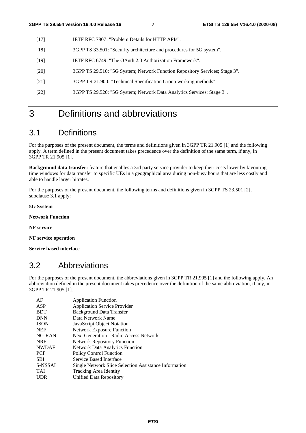- [17] IETF RFC 7807: "Problem Details for HTTP APIs".
- [18] 3GPP TS 33.501: "Security architecture and procedures for 5G system".
- [19] IETF RFC 6749: "The OAuth 2.0 Authorization Framework".
- [20] 3GPP TS 29.510: "5G System; Network Function Repository Services; Stage 3".
- [21] 3GPP TR 21.900: "Technical Specification Group working methods".
- [22] 3GPP TS 29.520: "5G System; Network Data Analytics Services; Stage 3".

# 3 Definitions and abbreviations

# 3.1 Definitions

For the purposes of the present document, the terms and definitions given in 3GPP TR 21.905 [1] and the following apply. A term defined in the present document takes precedence over the definition of the same term, if any, in 3GPP TR 21.905 [1].

**Background data transfer:** feature that enables a 3rd party service provider to keep their costs lower by favouring time windows for data transfer to specific UEs in a geographical area during non-busy hours that are less costly and able to handle larger bitrates.

For the purposes of the present document, the following terms and definitions given in 3GPP TS 23.501 [2], subclause 3.1 apply:

**5G System** 

**Network Function** 

**NF service** 

**NF service operation** 

**Service based interface** 

# 3.2 Abbreviations

For the purposes of the present document, the abbreviations given in 3GPP TR 21.905 [1] and the following apply. An abbreviation defined in the present document takes precedence over the definition of the same abbreviation, if any, in 3GPP TR 21.905 [1].

| AF           | <b>Application Function</b>                           |
|--------------|-------------------------------------------------------|
| ASP          | <b>Application Service Provider</b>                   |
| <b>BDT</b>   | <b>Background Data Transfer</b>                       |
| <b>DNN</b>   | Data Network Name                                     |
| <b>JSON</b>  | JavaScript Object Notation                            |
| <b>NEF</b>   | <b>Network Exposure Function</b>                      |
| $NG-RAN$     | Next Generation - Radio Access Network                |
| <b>NRF</b>   | <b>Network Repository Function</b>                    |
| <b>NWDAF</b> | <b>Network Data Analytics Function</b>                |
| <b>PCF</b>   | <b>Policy Control Function</b>                        |
| <b>SBI</b>   | Service Based Interface                               |
| S-NSSAI      | Single Network Slice Selection Assistance Information |
| <b>TAI</b>   | Tracking Area Identity                                |
| UDR          | Unified Data Repository                               |
|              |                                                       |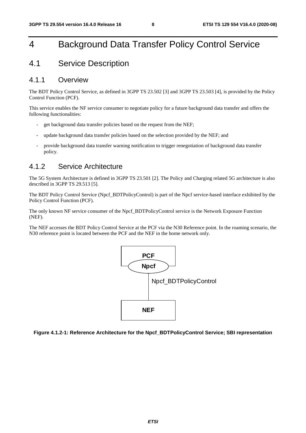# 4 Background Data Transfer Policy Control Service

# 4.1 Service Description

#### 4.1.1 Overview

The BDT Policy Control Service, as defined in 3GPP TS 23.502 [3] and 3GPP TS 23.503 [4], is provided by the Policy Control Function (PCF).

This service enables the NF service consumer to negotiate policy for a future background data transfer and offers the following functionalities:

- get background data transfer policies based on the request from the NEF;
- update background data transfer policies based on the selection provided by the NEF; and
- provide background data transfer warning notification to trigger renegotiation of background data transfer policy.

### 4.1.2 Service Architecture

The 5G System Architecture is defined in 3GPP TS 23.501 [2]. The Policy and Charging related 5G architecture is also described in 3GPP TS 29.513 [5].

The BDT Policy Control Service (Npcf\_BDTPolicyControl) is part of the Npcf service-based interface exhibited by the Policy Control Function (PCF).

The only known NF service consumer of the Npcf\_BDTPolicyControl service is the Network Exposure Function (NEF).

The NEF accesses the BDT Policy Control Service at the PCF via the N30 Reference point. In the roaming scenario, the N30 reference point is located between the PCF and the NEF in the home network only.



**Figure 4.1.2-1: Reference Architecture for the Npcf\_BDTPolicyControl Service; SBI representation**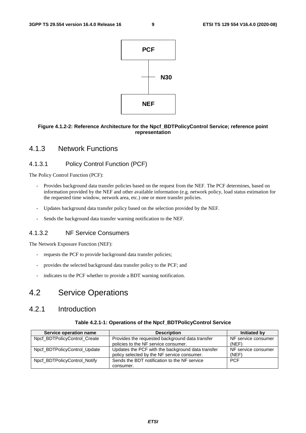

#### **Figure 4.1.2-2: Reference Architecture for the Npcf\_BDTPolicyControl Service; reference point representation**

### 4.1.3 Network Functions

#### 4.1.3.1 Policy Control Function (PCF)

The Policy Control Function (PCF):

- Provides background data transfer policies based on the request from the NEF. The PCF determines, based on information provided by the NEF and other available information (e.g. network policy, load status estimation for the requested time window, network area, etc.) one or more transfer policies.
- Updates background data transfer policy based on the selection provided by the NEF.
- Sends the background data transfer warning notification to the NEF.

#### 4.1.3.2 NF Service Consumers

The Network Exposure Function (NEF):

- requests the PCF to provide background data transfer policies;
- provides the selected background data transfer policy to the PCF; and
- indicates to the PCF whether to provide a BDT warning notification.

# 4.2 Service Operations

# 4.2.1 Introduction

#### **Table 4.2.1-1: Operations of the Npcf\_BDTPolicyControl Service**

| Service operation name       | <b>Description</b>                                | Initiated by        |
|------------------------------|---------------------------------------------------|---------------------|
| Npcf BDTPolicyControl Create | Provides the requested background data transfer   | NF service consumer |
|                              | policies to the NF service consumer.              | (NEF)               |
| Npcf_BDTPolicyControl_Update | Updates the PCF with the background data transfer | NF service consumer |
|                              | policy selected by the NF service consumer.       | (NEF)               |
| Npcf_BDTPolicyControl_Notify | Sends the BDT notification to the NF service      | <b>PCF</b>          |
|                              | consumer.                                         |                     |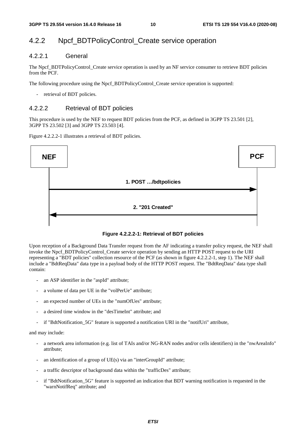# 4.2.2 Npcf\_BDTPolicyControl\_Create service operation

#### 4.2.2.1 General

The Npcf\_BDTPolicyControl\_Create service operation is used by an NF service consumer to retrieve BDT policies from the PCF.

The following procedure using the Npcf\_BDTPolicyControl\_Create service operation is supported:

retrieval of BDT policies.

#### 4.2.2.2 Retrieval of BDT policies

This procedure is used by the NEF to request BDT policies from the PCF, as defined in 3GPP TS 23.501 [2], 3GPP TS 23.502 [3] and 3GPP TS 23.503 [4].

Figure 4.2.2.2-1 illustrates a retrieval of BDT policies.



**Figure 4.2.2.2-1: Retrieval of BDT policies** 

Upon reception of a Background Data Transfer request from the AF indicating a transfer policy request, the NEF shall invoke the Npcf\_BDTPolicyControl\_Create service operation by sending an HTTP POST request to the URI representing a "BDT policies" collection resource of the PCF (as shown in figure 4.2.2.2-1, step 1). The NEF shall include a "BdtReqData" data type in a payload body of the HTTP POST request. The "BdtReqData" data type shall contain:

- an ASP identifier in the "aspId" attribute;
- a volume of data per UE in the "volPerUe" attribute;
- an expected number of UEs in the "numOfUes" attribute;
- a desired time window in the "desTimeInt" attribute; and
- if "BdtNotification 5G" feature is supported a notification URI in the "notifUri" attribute,

#### and may include:

- a network area information (e.g. list of TAIs and/or NG-RAN nodes and/or cells identifiers) in the "nwAreaInfo" attribute;
- an identification of a group of UE(s) via an "interGroupId" attribute;
- a traffic descriptor of background data within the "trafficDes" attribute;
- if "BdtNotification 5G" feature is supported an indication that BDT warning notification is requested in the "warnNotifReq" attribute; and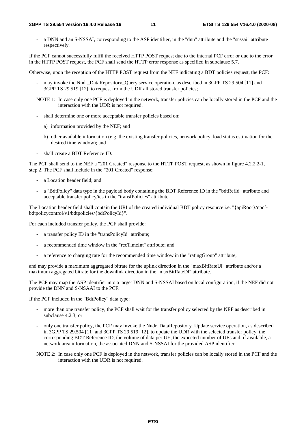#### **3GPP TS 29.554 version 16.4.0 Release 16 11 ETSI TS 129 554 V16.4.0 (2020-08)**

a DNN and an S-NSSAI, corresponding to the ASP identifier, in the "dnn" attribute and the "snssai" attribute respectively.

If the PCF cannot successfully fulfil the received HTTP POST request due to the internal PCF error or due to the error in the HTTP POST request, the PCF shall send the HTTP error response as specified in subclause 5.7.

Otherwise, upon the reception of the HTTP POST request from the NEF indicating a BDT policies request, the PCF:

- may invoke the Nudr\_DataRepository\_Query service operation, as described in 3GPP TS 29.504 [11] and 3GPP TS 29.519 [12], to request from the UDR all stored transfer policies;
- NOTE 1: In case only one PCF is deployed in the network, transfer policies can be locally stored in the PCF and the interaction with the UDR is not required.
- shall determine one or more acceptable transfer policies based on:
	- a) information provided by the NEF; and
	- b) other available information (e.g. the existing transfer policies, network policy, load status estimation for the desired time window); and
- shall create a BDT Reference ID.

The PCF shall send to the NEF a "201 Created" response to the HTTP POST request, as shown in figure 4.2.2.2-1, step 2. The PCF shall include in the "201 Created" response:

- a Location header field; and
- a "BdtPolicy" data type in the payload body containing the BDT Reference ID in the "bdtRefId" attribute and acceptable transfer policy/ies in the "transfPolicies" attribute.

The Location header field shall contain the URI of the created individual BDT policy resource i.e. "{apiRoot}/npcfbdtpolicycontrol/v1/bdtpolicies/{bdtPolicyId}".

For each included transfer policy, the PCF shall provide:

- a transfer policy ID in the "transPolicyId" attribute;
- a recommended time window in the "recTimeInt" attribute; and
- a reference to charging rate for the recommended time window in the "ratingGroup" attribute,

and may provide a maximum aggregated bitrate for the uplink direction in the "maxBitRateUl" attribute and/or a maximum aggregated bitrate for the downlink direction in the "maxBitRateDl" attribute.

The PCF may map the ASP identifier into a target DNN and S-NSSAI based on local configuration, if the NEF did not provide the DNN and S-NSAAI to the PCF.

If the PCF included in the "BdtPolicy" data type:

- more than one transfer policy, the PCF shall wait for the transfer policy selected by the NEF as described in subclause 4.2.3; or
- only one transfer policy, the PCF may invoke the Nudr\_DataRepository\_Update service operation, as described in 3GPP TS 29.504 [11] and 3GPP TS 29.519 [12], to update the UDR with the selected transfer policy, the corresponding BDT Reference ID, the volume of data per UE, the expected number of UEs and, if available, a network area information, the associated DNN and S-NSSAI for the provided ASP identifier.
- NOTE 2: In case only one PCF is deployed in the network, transfer policies can be locally stored in the PCF and the interaction with the UDR is not required.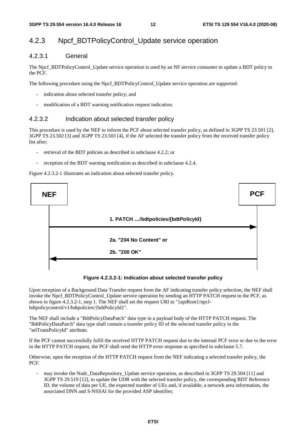# 4.2.3 Npcf\_BDTPolicyControl\_Update service operation

#### 4.2.3.1 General

The Npcf\_BDTPolicyControl\_Update service operation is used by an NF service consumer to update a BDT policy to the PCF.

The following procedure using the Npcf\_BDTPolicyControl\_Update service operation are supported:

- indication about selected transfer policy; and
- modification of a BDT warning notification request indication.

#### 4.2.3.2 Indication about selected transfer policy

This procedure is used by the NEF to inform the PCF about selected transfer policy, as defined in 3GPP TS 23.501 [2], 3GPP TS 23.502 [3] and 3GPP TS 23.503 [4], if the AF selected the transfer policy from the received transfer policy list after:

- retrieval of the BDT policies as described in subclause 4.2.2; or
- reception of the BDT warning notification as described in subclause 4.2.4.

Figure 4.2.3.2-1 illustrates an indication about selected transfer policy.



**Figure 4.2.3.2-1: Indication about selected transfer policy** 

Upon reception of a Background Data Transfer request from the AF indicating transfer policy selection, the NEF shall invoke the Npcf\_BDTPolicyControl\_Update service operation by sending an HTTP PATCH request to the PCF, as shown in figure 4.2.3.2-1, step 1. The NEF shall set the request URI to "{apiRoot}/npcfbdtpolicycontrol/v1/bdtpolicies/{bdtPolicyId}".

The NEF shall include a "BdtPolicyDataPatch" data type in a payload body of the HTTP PATCH request. The "BdtPolicyDataPatch" data type shall contain a transfer policy ID of the selected transfer policy in the "selTransPolicyId" attribute.

If the PCF cannot successfully fulfil the received HTTP PATCH request due to the internal PCF error or due to the error in the HTTP PATCH request, the PCF shall send the HTTP error response as specified in subclause 5.7.

Otherwise, upon the reception of the HTTP PATCH request from the NEF indicating a selected transfer policy, the PCF:

- may invoke the Nudr\_DataRepository\_Update service operation, as described in 3GPP TS 29.504 [11] and 3GPP TS 29.519 [12], to update the UDR with the selected transfer policy, the corresponding BDT Reference ID, the volume of data per UE, the expected number of UEs and, if available, a network area information, the associated DNN and S-NSSAI for the provided ASP identifier;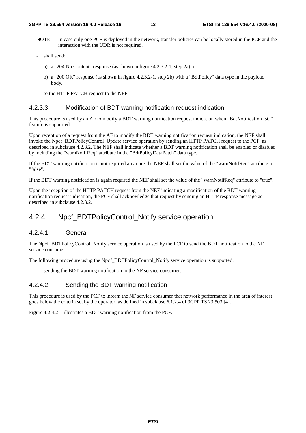- NOTE: In case only one PCF is deployed in the network, transfer policies can be locally stored in the PCF and the interaction with the UDR is not required.
- shall send:
	- a) a "204 No Content" response (as shown in figure 4.2.3.2-1, step 2a); or
	- b) a "200 OK" response (as shown in figure 4.2.3.2-1, step 2b) with a "BdtPolicy" data type in the payload body,

to the HTTP PATCH request to the NEF.

#### 4.2.3.3 Modification of BDT warning notification request indication

This procedure is used by an AF to modify a BDT warning notification request indication when "BdtNotification\_5G" feature is supported.

Upon reception of a request from the AF to modify the BDT warning notification request indication, the NEF shall invoke the Npcf\_BDTPolicyControl\_Update service operation by sending an HTTP PATCH request to the PCF, as described in subclause 4.2.3.2. The NEF shall indicate whether a BDT warning notification shall be enabled or disabled by including the "warnNotifReq" attribute in the "BdtPolicyDataPatch" data type.

If the BDT warning notification is not required anymore the NEF shall set the value of the "warnNotifReq" attribute to "false".

If the BDT warning notification is again required the NEF shall set the value of the "warnNotifReq" attribute to "true".

Upon the reception of the HTTP PATCH request from the NEF indicating a modification of the BDT warning notification request indication, the PCF shall acknowledge that request by sending an HTTP response message as described in subclause 4.2.3.2.

## 4.2.4 Npcf BDTPolicyControl Notify service operation

#### 4.2.4.1 General

The Npcf BDTPolicyControl\_Notify service operation is used by the PCF to send the BDT notification to the NF service consumer.

The following procedure using the Npcf\_BDTPolicyControl\_Notify service operation is supported:

sending the BDT warning notification to the NF service consumer.

#### 4.2.4.2 Sending the BDT warning notification

This procedure is used by the PCF to inform the NF service consumer that network performance in the area of interest goes below the criteria set by the operator, as defined in subclause 6.1.2.4 of 3GPP TS 23.503 [4].

Figure 4.2.4.2-1 illustrates a BDT warning notification from the PCF.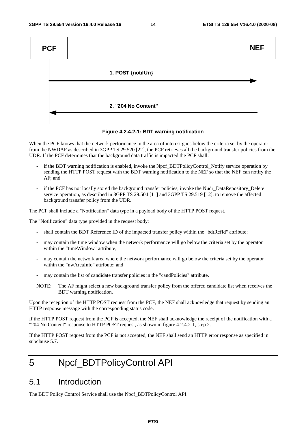

**Figure 4.2.4.2-1: BDT warning notification** 

When the PCF knows that the network performance in the area of interest goes below the criteria set by the operator from the NWDAF as described in 3GPP TS 29.520 [22], the PCF retrieves all the background transfer policies from the UDR. If the PCF determines that the background data traffic is impacted the PCF shall:

- if the BDT warning notification is enabled, invoke the Npcf\_BDTPolicyControl\_Notify service operation by sending the HTTP POST request with the BDT warning notification to the NEF so that the NEF can notify the AF; and
- if the PCF has not locally stored the background transfer policies, invoke the Nudr\_DataRepository\_Delete service operation, as described in 3GPP TS 29.504 [11] and 3GPP TS 29.519 [12], to remove the affected background transfer policy from the UDR.

The PCF shall include a "Notification" data type in a payload body of the HTTP POST request.

The "Notification" data type provided in the request body:

- shall contain the BDT Reference ID of the impacted transfer policy within the "bdtRefId" attribute;
- may contain the time window when the network performance will go below the criteria set by the operator within the "timeWindow" attribute;
- may contain the network area where the network performance will go below the criteria set by the operator within the "nwAreaInfo" attribute; and
- may contain the list of candidate transfer policies in the "candPolicies" attribute.
- NOTE: The AF might select a new background transfer policy from the offered candidate list when receives the BDT warning notification.

Upon the reception of the HTTP POST request from the PCF, the NEF shall acknowledge that request by sending an HTTP response message with the corresponding status code.

If the HTTP POST request from the PCF is accepted, the NEF shall acknowledge the receipt of the notification with a "204 No Content" response to HTTP POST request, as shown in figure 4.2.4.2-1, step 2.

If the HTTP POST request from the PCF is not accepted, the NEF shall send an HTTP error response as specified in subclause 5.7.

# 5 Npcf\_BDTPolicyControl API

# 5.1 Introduction

The BDT Policy Control Service shall use the Npcf\_BDTPolicyControl API.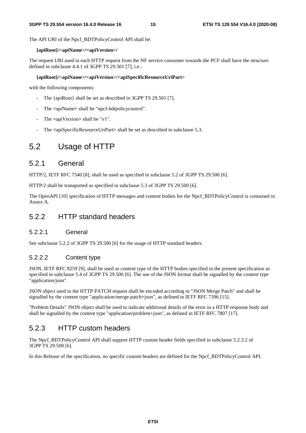The API URI of the Npcf\_BDTPolicyControl API shall be:

#### **{apiRoot}/<apiName>/<apiVersion>/**

The request URI used in each HTTP request from the NF service consumer towards the PCF shall have the structure defined in subclause 4.4.1 of 3GPP TS 29.501 [7], i.e.:

#### **{apiRoot}/<apiName>/<apiVersion>/<apiSpecificResourceUriPart>**

with the following components:

- The {apiRoot} shall be set as described in 3GPP TS 29.501 [7].
- The **<**apiName**>** shall be "npcf-bdtpolicycontrol".
- The  $\langle$ apiVersion $\rangle$  shall be "v1".
- The  $\leq$ apiSpecificResourceUriPart> shall be set as described in subclause 5.3.

# 5.2 Usage of HTTP

### 5.2.1 General

HTTP/2, IETF RFC 7540 [8], shall be used as specified in subclause 5.2 of 3GPP TS 29.500 [6].

HTTP/2 shall be transported as specified in subclause 5.3 of 3GPP TS 29.500 [6].

The OpenAPI [10] specification of HTTP messages and content bodies for the Npcf\_BDTPolicyControl is contained in Annex A.

### 5.2.2 HTTP standard headers

#### 5.2.2.1 General

See subclause 5.2.2 of 3GPP TS 29.500 [6] for the usage of HTTP standard headers.

#### 5.2.2.2 Content type

JSON, IETF RFC 8259 [9], shall be used as content type of the HTTP bodies specified in the present specification as specified in subclause 5.4 of 3GPP TS 29.500 [6]. The use of the JSON format shall be signalled by the content type "application/json".

JSON object used in the HTTP PATCH request shall be encoded according to "JSON Merge Patch" and shall be signalled by the content type "application/merge-patch+json", as defined in IETF RFC 7396 [15].

"Problem Details" JSON object shall be used to indicate additional details of the error in a HTTP response body and shall be signalled by the content type "application/problem+json", as defined in IETF RFC 7807 [17].

### 5.2.3 HTTP custom headers

The Npcf\_BDTPolicyControl API shall support HTTP custom header fields specified in subclause 5.2.3.2 of 3GPP TS 29.500 [6].

In this Release of the specification, no specific custom headers are defined for the Npcf\_BDTPolicyControl API.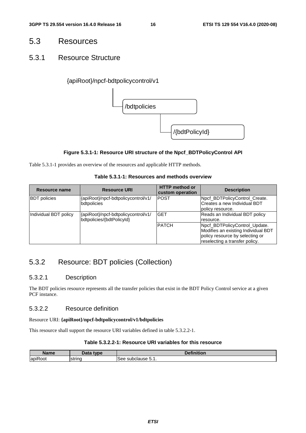# 5.3 Resources

### 5.3.1 Resource Structure

#### {apiRoot}/npcf-bdtpolicycontrol/v1



#### **Figure 5.3.1-1: Resource URI structure of the Npcf\_BDTPolicyControl API**

Table 5.3.1-1 provides an overview of the resources and applicable HTTP methods.

#### **Table 5.3.1-1: Resources and methods overview**

| Resource name         | <b>Resource URI</b>                                              | <b>HTTP</b> method or<br>custom operation | <b>Description</b>                                                                                                                        |
|-----------------------|------------------------------------------------------------------|-------------------------------------------|-------------------------------------------------------------------------------------------------------------------------------------------|
| <b>BDT</b> policies   | {apiRoot}/npcf-bdtpolicycontrol/v1/<br>bdtpolicies               | <b>POST</b>                               | Npcf_BDTPolicyControl_Create.<br>Creates a new Individual BDT<br>policy resource.                                                         |
| Individual BDT policy | {apiRoot}/npcf-bdtpolicycontrol/v1/<br>bdtpolicies/{bdtPolicyId} | <b>GET</b>                                | Reads an Individual BDT policy<br>resource.                                                                                               |
|                       |                                                                  | <b>PATCH</b>                              | Npcf_BDTPolicyControl_Update.<br>Modifies an existing Individual BDT<br>policy resource by selecting or<br>reselecting a transfer policy. |

# 5.3.2 Resource: BDT policies (Collection)

#### 5.3.2.1 Description

The BDT policies resource represents all the transfer policies that exist in the BDT Policy Control service at a given PCF instance.

#### 5.3.2.2 Resource definition

Resource URI: **{apiRoot}/npcf-bdtpolicycontrol/v1/bdtpolicies**

This resource shall support the resource URI variables defined in table 5.3.2.2-1.

#### **Table 5.3.2.2-1: Resource URI variables for this resource**

| <b>Name</b><br>ше                         | nai<br>type<br>Dala | <b>CONTRACTOR</b><br>.<br>чинцоп |
|-------------------------------------------|---------------------|----------------------------------|
| $\overline{\phantom{a}}$<br>lapih<br>:oot | string              | see<br>subclause 5.1.            |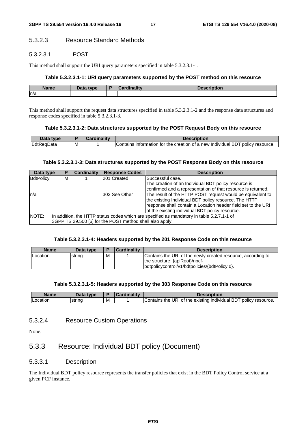#### 5.3.2.3 Resource Standard Methods

#### 5.3.2.3.1 POST

This method shall support the URI query parameters specified in table 5.3.2.3.1-1.

#### **Table 5.3.2.3.1-1: URI query parameters supported by the POST method on this resource**

| <b>Name</b> | <b>Data type</b><br>Dala | $1 - 11$ | .<br>יטפטע<br>ווטנוטוו |
|-------------|--------------------------|----------|------------------------|
| n/a         |                          |          |                        |

This method shall support the request data structures specified in table 5.3.2.3.1-2 and the response data structures and response codes specified in table 5.3.2.3.1-3.

#### **Table 5.3.2.3.1-2: Data structures supported by the POST Request Body on this resource**

| <b>type</b>             |   | $-114.7$ |                                                                                                   |
|-------------------------|---|----------|---------------------------------------------------------------------------------------------------|
| <b>BdtReaD</b><br>ɑData | M |          | policy<br>creation of a new Individual BD<br>resource.<br>intormation<br>the<br>Contains<br>, tor |

#### **Table 5.3.2.3.1-3: Data structures supported by the POST Response Body on this resource**

| Data type |   | <b>Cardinality</b> | <b>Response Codes</b>                                    | <b>Description</b>                                                                                                                                                                                                                      |
|-----------|---|--------------------|----------------------------------------------------------|-----------------------------------------------------------------------------------------------------------------------------------------------------------------------------------------------------------------------------------------|
| BdtPolicy | M |                    | 201 Created                                              | lSuccessful case.                                                                                                                                                                                                                       |
|           |   |                    |                                                          | The creation of an Individual BDT policy resource is                                                                                                                                                                                    |
|           |   |                    |                                                          | confirmed and a representation of that resource is returned.                                                                                                                                                                            |
| ln/a      |   |                    | l303 See Other                                           | The result of the HTTP POST request would be equivalent to<br>the existing Individual BDT policy resource. The HTTP<br>response shall contain a Location header field set to the URI<br>of the existing individual BDT policy resource. |
| NOTE:     |   |                    | 3GPP TS 29.500 [6] for the POST method shall also apply. | In addition, the HTTP status codes which are specified as mandatory in table 5.2.7.1-1 of                                                                                                                                               |

#### **Table 5.3.2.3.1-4: Headers supported by the 201 Response Code on this resource**

| <b>Name</b>     | Data type |   | <b>Cardinality</b> | <b>Description</b>                                           |
|-----------------|-----------|---|--------------------|--------------------------------------------------------------|
| <b>Location</b> | string    | M |                    | Contains the URI of the newly created resource, according to |
|                 |           |   |                    | the structure: {apiRoot}/npcf-                               |
|                 |           |   |                    | bdtpolicycontrol/v1/bdtpolicies/{bdtPolicyId}.               |

#### **Table 5.3.2.3.1-5: Headers supported by the 303 Response Code on this resource**

| <b>Name</b> |                    |   | $\blacksquare$ |                                                                                             |
|-------------|--------------------|---|----------------|---------------------------------------------------------------------------------------------|
| ncation     | letrina<br>istrinc | м |                | UR.<br>BD<br>policy<br>Contains<br>the<br>the<br>. existino<br>resource<br>individual<br>Οt |

#### 5.3.2.4 Resource Custom Operations

None.

# 5.3.3 Resource: Individual BDT policy (Document)

#### 5.3.3.1 Description

The Individual BDT policy resource represents the transfer policies that exist in the BDT Policy Control service at a given PCF instance.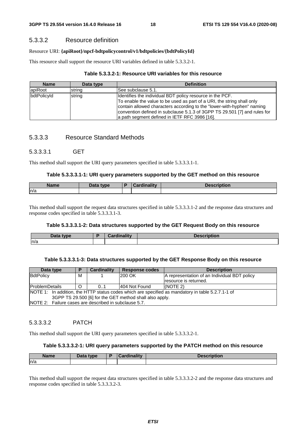### 5.3.3.2 Resource definition

#### Resource URI: **{apiRoot}/npcf-bdtpolicycontrol/v1/bdtpolicies/{bdtPolicyId}**

This resource shall support the resource URI variables defined in table 5.3.3.2-1.

#### **Table 5.3.3.2-1: Resource URI variables for this resource**

| <b>Name</b> | Data type | <b>Definition</b>                                                                                                                                                                                                                                                                                                                           |
|-------------|-----------|---------------------------------------------------------------------------------------------------------------------------------------------------------------------------------------------------------------------------------------------------------------------------------------------------------------------------------------------|
| apiRoot     | string    | See subclause 5.1.                                                                                                                                                                                                                                                                                                                          |
| bdtPolicyId | string    | Identifies the individual BDT policy resource in the PCF.<br>To enable the value to be used as part of a URI, the string shall only<br>contain allowed characters according to the "lower-with-hyphen" naming<br>convention defined in subclause 5.1.3 of 3GPP TS 29.501 [7] and rules for<br>a path segment defined in IETF RFC 3986 [16]. |

### 5.3.3.3 Resource Standard Methods

### 5.3.3.3.1 GET

This method shall support the URI query parameters specified in table 5.3.3.3.1-1.

#### **Table 5.3.3.3.1-1: URI query parameters supported by the GET method on this resource**

| <b>Name</b> | $T$ cter<br>type | $\sim$ $\sim$ $\sim$<br>. IL V | <b>Description</b> |
|-------------|------------------|--------------------------------|--------------------|
| ln/a        |                  |                                |                    |

This method shall support the request data structures specified in table 5.3.3.3.1-2 and the response data structures and response codes specified in table 5.3.3.3.1-3.

#### **Table 5.3.3.3.1-2: Data structures supported by the GET Request Body on this resource**

| Doto.<br>tyne<br>Data | Cordinality | $\cdots$<br>πισπ |
|-----------------------|-------------|------------------|
| n/a                   |             |                  |

#### **Table 5.3.3.3.1-3: Data structures supported by the GET Response Body on this resource**

| Data type             |                                                                                                   | Cardinality | Response codes | <b>Description</b>                           |  |  |  |
|-----------------------|---------------------------------------------------------------------------------------------------|-------------|----------------|----------------------------------------------|--|--|--|
| BdtPolicy             | м                                                                                                 |             | 200 OK         | A representation of an Individual BDT policy |  |  |  |
|                       |                                                                                                   |             |                | resource is returned.                        |  |  |  |
| <b>ProblemDetails</b> |                                                                                                   | 0.1         | 1404 Not Found | I(NOTE 2)                                    |  |  |  |
|                       | NOTE 1: In addition, the HTTP status codes which are specified as mandatory in table 5.2.7.1-1 of |             |                |                                              |  |  |  |
|                       | 3GPP TS 29.500 [6] for the GET method shall also apply.                                           |             |                |                                              |  |  |  |
|                       | INOTE 2: Failure cases are described in subclause 5.7.                                            |             |                |                                              |  |  |  |

### 5.3.3.3.2 PATCH

This method shall support the URI query parameters specified in table 5.3.3.3.2-1.

#### **Table 5.3.3.3.2-1: URI query parameters supported by the PATCH method on this resource**

| <b>Name</b> | Data type<br>Dala | D | $1 - 11$ | <b>DESCRIPTION</b> |
|-------------|-------------------|---|----------|--------------------|
| ln/a        |                   |   |          |                    |

This method shall support the request data structures specified in table 5.3.3.3.2-2 and the response data structures and response codes specified in table 5.3.3.3.2-3.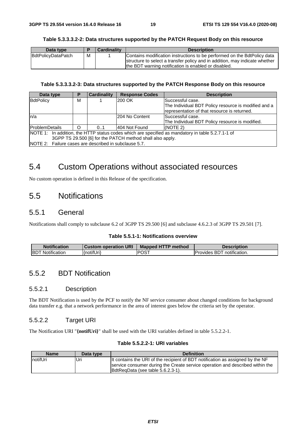#### **Table 5.3.3.3.2-2: Data structures supported by the PATCH Request Body on this resource**

| Data type          |   | <b>Cardinality</b> | <b>Description</b>                                                                                                                                                                                              |
|--------------------|---|--------------------|-----------------------------------------------------------------------------------------------------------------------------------------------------------------------------------------------------------------|
| BdtPolicyDataPatch | м |                    | Contains modification instructions to be performed on the BdtPolicy data<br>structure to select a transfer policy and in addition, may indicate whether<br>the BDT warning notification is enabled or disabled. |

#### **Table 5.3.3.3.2-3: Data structures supported by the PATCH Response Body on this resource**

| Data type                                                 |                                                                                                   | <b>Cardinality</b> | <b>Response Codes</b> | <b>Description</b>                                   |  |  |  |
|-----------------------------------------------------------|---------------------------------------------------------------------------------------------------|--------------------|-----------------------|------------------------------------------------------|--|--|--|
| BdtPolicy                                                 | М                                                                                                 |                    | 200 OK                | lSuccessful case.                                    |  |  |  |
|                                                           |                                                                                                   |                    |                       | The Individual BDT Policy resource is modified and a |  |  |  |
|                                                           |                                                                                                   |                    |                       | representation of that resource is returned.         |  |  |  |
| ln/a                                                      |                                                                                                   |                    | 204 No Content        | Successful case.                                     |  |  |  |
|                                                           |                                                                                                   |                    |                       | The Individual BDT Policy resource is modified.      |  |  |  |
| <b>IProblemDetails</b>                                    | ∩                                                                                                 | 0.1                | 404 Not Found         | (NOTE 2)                                             |  |  |  |
|                                                           | NOTE 1: In addition, the HTTP status codes which are specified as mandatory in table 5.2.7.1-1 of |                    |                       |                                                      |  |  |  |
| 3GPP TS 29.500 [6] for the PATCH method shall also apply. |                                                                                                   |                    |                       |                                                      |  |  |  |
| INOTE 2: Failure cases are described in subclause 5.7.    |                                                                                                   |                    |                       |                                                      |  |  |  |

# 5.4 Custom Operations without associated resources

No custom operation is defined in this Release of the specification.

# 5.5 Notifications

### 5.5.1 General

Notifications shall comply to subclause 6.2 of 3GPP TS 29.500 [6] and subclause 4.6.2.3 of 3GPP TS 29.501 [7].

#### **Table 5.5.1-1: Notifications overview**

| <b>Notification</b>  | <b>Custom operation URI</b> | <b>Mapped HTTP method</b> | <b>Description</b>                   |
|----------------------|-----------------------------|---------------------------|--------------------------------------|
| Notification<br>IBDT | {notifUri}                  | <b>POST</b>               | notification.<br><b>Provides BDT</b> |

### 5.5.2 BDT Notification

#### 5.5.2.1 Description

The BDT Notification is used by the PCF to notify the NF service consumer about changed conditions for background data transfer e.g. that a network performance in the area of interest goes below the criteria set by the operator.

#### 5.5.2.2 Target URI

The Notification URI "**{notifUri}**" shall be used with the URI variables defined in table 5.5.2.2-1.

#### **Table 5.5.2.2-1: URI variables**

| <b>Name</b> | Data type | <b>Definition</b>                                                                                                                                               |
|-------------|-----------|-----------------------------------------------------------------------------------------------------------------------------------------------------------------|
| notifUri    | Uri       | It contains the URI of the recipient of BDT notification as assigned by the NF<br>service consumer during the Create service operation and described within the |
|             |           | BdtRegData (see table 5.6.2.3-1).                                                                                                                               |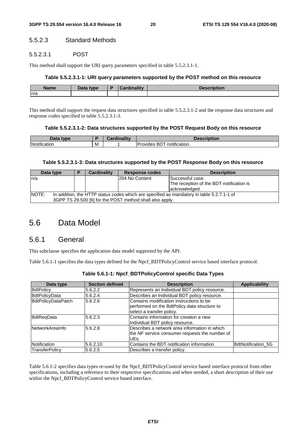#### 5.5.2.3 Standard Methods

#### 5.5.2.3.1 POST

This method shall support the URI query parameters specified in table 5.5.2.3.1-1.

#### **Table 5.5.2.3.1-1: URI query parameters supported by the POST method on this resource**

| <b>Name</b> | <b>Data type</b><br>Putu | <b><i><u>Elizabeth</u></i></b> | .<br>uvil |
|-------------|--------------------------|--------------------------------|-----------|
| n/a         |                          |                                |           |

This method shall support the request data structures specified in table 5.5.2.3.1-2 and the response data structures and response codes specified in table 5.5.2.3.1-3.

#### **Table 5.5.2.3.1-2: Data structures supported by the POST Request Body on this resource**

| --<br>tyne   |   | $- -$<br>--<br><b>STATISTICS</b> | <b>Incor</b><br>∖tion                                   |
|--------------|---|----------------------------------|---------------------------------------------------------|
| Notification | M |                                  | $\cdots$<br>.<br>notification.<br><i>"</i> ovides<br>БU |

#### **Table 5.5.2.3.1-3: Data structures supported by the POST Response Body on this resource**

|       | Data type                                                                                 | Ð | <b>Cardinality</b> | <b>Response codes</b>                                    | <b>Description</b>                       |  |  |
|-------|-------------------------------------------------------------------------------------------|---|--------------------|----------------------------------------------------------|------------------------------------------|--|--|
| ln/a  |                                                                                           |   |                    | 204 No Content                                           | <b>Successful case.</b>                  |  |  |
|       |                                                                                           |   |                    |                                                          | The reception of the BDT notification is |  |  |
|       |                                                                                           |   |                    |                                                          | lacknowledged.                           |  |  |
| NOTE: | In addition, the HTTP status codes which are specified as mandatory in table 5.2.7.1-1 of |   |                    |                                                          |                                          |  |  |
|       |                                                                                           |   |                    | 3GPP TS 29.500 [6] for the POST method shall also apply. |                                          |  |  |

# 5.6 Data Model

### 5.6.1 General

This subclause specifies the application data model supported by the API.

Table 5.6.1-1 specifies the data types defined for the Npcf\_BDTPolicyControl service based interface protocol.

| Data type                 | <b>Section defined</b> | <b>Description</b>                                                                                                    | <b>Applicability</b>      |
|---------------------------|------------------------|-----------------------------------------------------------------------------------------------------------------------|---------------------------|
| <b>BdtPolicy</b>          | 5.6.2.2                | Represents an Individual BDT policy resource.                                                                         |                           |
| <b>BdtPolicyData</b>      | 5.6.2.4                | Describes an Individual BDT policy resource.                                                                          |                           |
| <b>BdtPolicyDataPatch</b> | 5.6.2.6                | Contains modification instructions to be<br>performed on the BdtPolicy data structure to<br>select a transfer policy. |                           |
| BdtReqData                | 5.6.2.3                | Contains information for creation a new<br>Individual BDT policy resource.                                            |                           |
| <b>NetworkArealnfo</b>    | 5.6.2.8                | Describes a network area information in which<br>the NF service consumer requests the number of<br>UEs.               |                           |
| Notification              | 5.6.2.10               | Contains the BDT notification information.                                                                            | <b>BdtNotification 5G</b> |
| TransferPolicy            | 5.6.2.5                | Describes a transfer policy.                                                                                          |                           |

**Table 5.6.1-1: Npcf\_BDTPolicyControl specific Data Types** 

Table 5.6.1-2 specifies data types re-used by the Npcf\_BDTPolicyControl service based interface protocol from other specifications, including a reference to their respective specifications and when needed, a short description of their use within the Npcf\_BDTPolicyControl service based interface.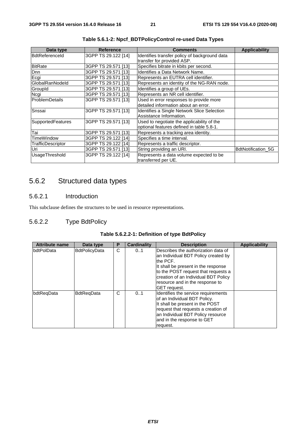| Data type             | <b>Reference</b>    | <b>Comments</b>                                                                         | <b>Applicability</b> |
|-----------------------|---------------------|-----------------------------------------------------------------------------------------|----------------------|
| <b>BdtReferenceId</b> | 3GPP TS 29.122 [14] | Identifies transfer policy of background data<br>transfer for provided ASP.             |                      |
| <b>BitRate</b>        | 3GPP TS 29.571 [13] | Specifies bitrate in kbits per second.                                                  |                      |
| Dnn                   | 3GPP TS 29.571 [13] | Identifies a Data Network Name.                                                         |                      |
| Ecgi                  | 3GPP TS 29.571 [13] | Represents an EUTRA cell identifier.                                                    |                      |
| GlobalRanNodeld       | 3GPP TS 29.571 [13] | Represents an identity of the NG-RAN node.                                              |                      |
| GroupId               | 3GPP TS 29.571 [13] | Identifies a group of UEs.                                                              |                      |
| Ncgi                  | 3GPP TS 29.571 [13] | Represents an NR cell identifier.                                                       |                      |
| <b>ProblemDetails</b> | 3GPP TS 29.571 [13] | Used in error responses to provide more<br>detailed information about an error.         |                      |
| Snssai                | 3GPP TS 29.571 [13] | Identifies a Single Network Slice Selection<br>Assistance Information.                  |                      |
| SupportedFeatures     | 3GPP TS 29.571 [13] | Used to negotiate the applicability of the<br>optional features defined in table 5.8-1. |                      |
| Tai                   | 3GPP TS 29.571 [13] | Represents a tracking area identity.                                                    |                      |
| TimeWindow            | 3GPP TS 29.122 [14] | Specifies a time interval.                                                              |                      |
| TrafficDescriptor     | 3GPP TS 29.122 [14] | Represents a traffic descriptor.                                                        |                      |
| Uri                   | 3GPP TS 29.571 [13] | String providing an URI.                                                                | BdtNotification_5G   |
| UsageThreshold        | 3GPP TS 29.122 [14] | Represents a data volume expected to be<br>transferred per UE.                          |                      |

**Table 5.6.1-2: Npcf\_BDTPolicyControl re-used Data Types** 

# 5.6.2 Structured data types

### 5.6.2.1 Introduction

This subclause defines the structures to be used in resource representations.

### 5.6.2.2 Type BdtPolicy

| Table 5.6.2.2-1: Definition of type BdtPolicy |  |  |
|-----------------------------------------------|--|--|
|-----------------------------------------------|--|--|

| <b>Attribute name</b> | Data type            | P | <b>Cardinality</b>                                                                                                                                                                                                                  | <b>Description</b>                                                                                                                                                                                                                                                     | Applicability |
|-----------------------|----------------------|---|-------------------------------------------------------------------------------------------------------------------------------------------------------------------------------------------------------------------------------------|------------------------------------------------------------------------------------------------------------------------------------------------------------------------------------------------------------------------------------------------------------------------|---------------|
| <b>IbdtPoIData</b>    | <b>BdtPolicyData</b> | C | 0.1                                                                                                                                                                                                                                 | Describes the authorization data of<br>an Individual BDT Policy created by<br>the PCF.<br>It shall be present in the response<br>to the POST request that requests a<br>creation of an Individual BDT Policy<br>resource and in the response to<br><b>GET</b> request. |               |
| bdtRegData            | <b>BdtRegData</b>    | C | Identifies the service requirements<br>0.1<br>of an Individual BDT Policy.<br>It shall be present in the POST<br>request that requests a creation of<br>an Individual BDT Policy resource<br>and in the response to GET<br>request. |                                                                                                                                                                                                                                                                        |               |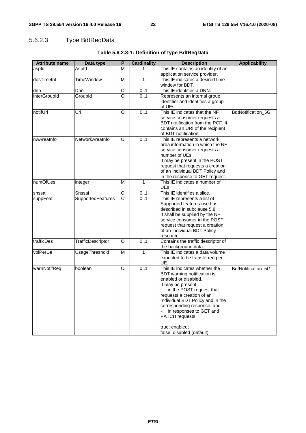# 5.6.2.3 Type BdtReqData

| <b>Attribute name</b> | Data type         | P                     | <b>Cardinality</b> | <b>Description</b>                            | <b>Applicability</b> |
|-----------------------|-------------------|-----------------------|--------------------|-----------------------------------------------|----------------------|
| aspld                 | Aspld             | M                     |                    | This IE contains an identity of an            |                      |
|                       |                   |                       |                    | application service provider.                 |                      |
| desTimeInt            | <b>TimeWindow</b> | M                     | $\mathbf{1}$       | This IE indicates a desired time              |                      |
|                       |                   |                       |                    | window for BDT.                               |                      |
| dnn                   | Dnn               | O                     | 01                 | This IE identifies a DNN.                     |                      |
| interGroupId          | Groupld           | $\circ$               | 0.1                | Represents an internal group                  |                      |
|                       |                   |                       |                    | identifier and identifies a group             |                      |
|                       |                   |                       |                    | of UEs.                                       |                      |
| notifUri              | Uri               | O                     | 0.1                | This IE indicates that the NF                 | BdtNotification_5G   |
|                       |                   |                       |                    | service consumer requests a                   |                      |
|                       |                   |                       |                    | BDT notification from the PCF. It             |                      |
|                       |                   |                       |                    | contains an URI of the recipient              |                      |
|                       |                   |                       |                    | of BDT notification.                          |                      |
| nwAreaInfo            | NetworkAreaInfo   | O                     | 0.1                | This IE represents a network                  |                      |
|                       |                   |                       |                    | area information in which the NF              |                      |
|                       |                   |                       |                    | service consumer requests a<br>number of UEs. |                      |
|                       |                   |                       |                    | It may be present in the POST                 |                      |
|                       |                   |                       |                    | request that requests a creation              |                      |
|                       |                   |                       |                    | of an Individual BDT Policy and               |                      |
|                       |                   |                       |                    | in the response to GET request.               |                      |
| numOfUes              | integer           | М                     | $\mathbf{1}$       | This IE indicates a number of                 |                      |
|                       |                   |                       |                    | UEs.                                          |                      |
| snssai                | Snssai            | $\circ$               | 01                 | This IE identifies a slice.                   |                      |
| suppFeat              | SupportedFeatures | $\overline{\text{c}}$ | 0.1                | This IE represents a list of                  |                      |
|                       |                   |                       |                    | Supported features used as                    |                      |
|                       |                   |                       |                    | described in subclause 5.8.                   |                      |
|                       |                   |                       |                    | It shall be supplied by the NF                |                      |
|                       |                   |                       |                    | service consumer in the POST                  |                      |
|                       |                   |                       |                    | request that request a creation               |                      |
|                       |                   |                       |                    | of an Individual BDT Policy                   |                      |
|                       |                   |                       |                    | resource.                                     |                      |
| trafficDes            | TrafficDescriptor | O                     | 0.1                | Contains the traffic descriptor of            |                      |
|                       |                   |                       |                    | the background data.                          |                      |
| volPerUe              | UsageThreshold    | M                     | 1                  | This IE indicates a data volume               |                      |
|                       |                   |                       |                    | expected to be transferred per<br>UE.         |                      |
| warnNotifReq          | boolean           | $\Omega$              | 0.1                | This IE indicates whether the                 | BdtNotification_5G   |
|                       |                   |                       |                    | BDT warning notification is                   |                      |
|                       |                   |                       |                    | enabled or disabled.                          |                      |
|                       |                   |                       |                    | It may be present:                            |                      |
|                       |                   |                       |                    | in the POST request that                      |                      |
|                       |                   |                       |                    | requests a creation of an                     |                      |
|                       |                   |                       |                    | Individual BDT Policy and in the              |                      |
|                       |                   |                       |                    | corresponding response; and                   |                      |
|                       |                   |                       |                    | in responses to GET and                       |                      |
|                       |                   |                       |                    | PATCH requests.                               |                      |
|                       |                   |                       |                    |                                               |                      |
|                       |                   |                       |                    | true: enabled;                                |                      |
|                       |                   |                       |                    | false: disabled (default).                    |                      |

### **Table 5.6.2.3-1: Definition of type BdtReqData**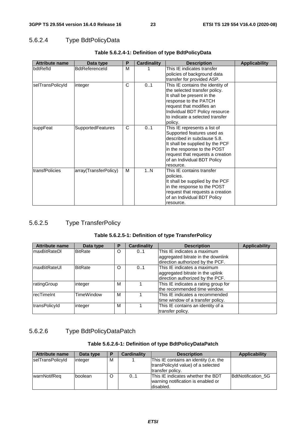### 5.6.2.4 Type BdtPolicyData

| <b>Attribute name</b> | Data type                | P | <b>Cardinality</b> | <b>Description</b>                                                                                                                                                                                                                          | <b>Applicability</b> |
|-----------------------|--------------------------|---|--------------------|---------------------------------------------------------------------------------------------------------------------------------------------------------------------------------------------------------------------------------------------|----------------------|
| bdtRefld              | <b>BdtReferenceld</b>    | м |                    | This IE indicates transfer<br>policies of background data                                                                                                                                                                                   |                      |
|                       |                          |   |                    | transfer for provided ASP.                                                                                                                                                                                                                  |                      |
| selTransPolicyId      | integer                  | C | 0.1                | This IE contains the identity of<br>the selected transfer policy.<br>It shall be present in the<br>response to the PATCH<br>request that modifies an<br>Individual BDT Policy resource                                                      |                      |
|                       |                          |   |                    | to indicate a selected transfer<br>policy.                                                                                                                                                                                                  |                      |
| suppFeat              | <b>SupportedFeatures</b> | C | 01                 | This IE represents a list of<br>Supported features used as<br>described in subclause 5.8.<br>It shall be supplied by the PCF<br>in the response to the POST<br>request that requests a creation<br>of an Individual BDT Policy<br>resource. |                      |
| ItransfPolicies       | array(TransferPolicy)    | м | 1N                 | This IE contains transfer<br>policies.<br>It shall be supplied by the PCF<br>in the response to the POST<br>request that requests a creation<br>of an Individual BDT Policy<br>resource.                                                    |                      |

#### **Table 5.6.2.4-1: Definition of type BdtPolicyData**

### 5.6.2.5 Type TransferPolicy

#### **Table 5.6.2.5-1: Definition of type TransferPolicy**

| <b>Attribute name</b> | Data type      | Р | <b>Cardinality</b> | <b>Description</b>                   | <b>Applicability</b> |
|-----------------------|----------------|---|--------------------|--------------------------------------|----------------------|
| <b>maxBitRateDI</b>   | <b>BitRate</b> | O | 0.1                | This IE indicates a maximum          |                      |
|                       |                |   |                    | aggregated bitrate in the downlink   |                      |
|                       |                |   |                    | direction authorized by the PCF.     |                      |
| ImaxBitRateUI         | <b>BitRate</b> | O | 0.1                | This IE indicates a maximum          |                      |
|                       |                |   |                    | aggregated bitrate in the uplink     |                      |
|                       |                |   |                    | direction authorized by the PCF.     |                      |
| ratingGroup           | integer        | M |                    | This IE indicates a rating group for |                      |
|                       |                |   |                    | the recommended time window.         |                      |
| recTimeInt            | TimeWindow     | M |                    | This IE indicates a recommended      |                      |
|                       |                |   |                    | time window of a transfer policy.    |                      |
| transPolicyId         | integer        | M |                    | This IE contains an identity of a    |                      |
|                       |                |   |                    | transfer policy.                     |                      |

# 5.6.2.6 Type BdtPolicyDataPatch

#### **Table 5.6.2.6-1: Definition of type BdtPolicyDataPatch**

| <b>Attribute name</b> | Data type | Р | Cardinality                                                                                        | <b>Description</b>                                                                                | Applicability      |
|-----------------------|-----------|---|----------------------------------------------------------------------------------------------------|---------------------------------------------------------------------------------------------------|--------------------|
| selTransPolicyId      | linteger  | M |                                                                                                    | This IE contains an identity (i.e. the<br>transPolicyId value) of a selected<br>ltransfer policv. |                    |
| warnNotifReq          | Iboolean  | O | <b>This IE indicates whether the BDT</b><br>0.1<br>warning notification is enabled or<br>disabled. |                                                                                                   | BdtNotification 5G |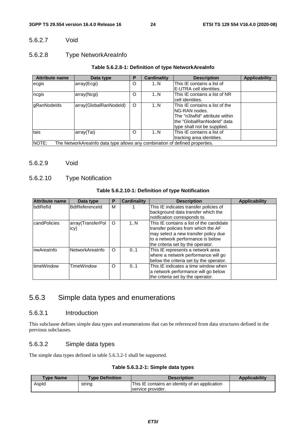#### 5.6.2.7 Void

#### 5.6.2.8 Type NetworkAreaInfo

#### **Table 5.6.2.8-1: Definition of type NetworkAreaInfo**

| <b>Attribute name</b> | Data type                                                                   | Р       | <b>Cardinality</b> | <b>Description</b>             | <b>Applicability</b> |
|-----------------------|-----------------------------------------------------------------------------|---------|--------------------|--------------------------------|----------------------|
| ecgis                 | array(Ecgi)                                                                 | O       | 1N                 | This IE contains a list of     |                      |
|                       |                                                                             |         |                    | IE-UTRA cell identities.       |                      |
| ncgis                 | array(Ncgi)                                                                 | O       | 1N                 | This IE contains a list of NR  |                      |
|                       |                                                                             |         |                    | Icell identities.              |                      |
| gRanNodelds           | array(GlobalRanNodeld)                                                      | $\circ$ | 1N                 | This IE contains a list of the |                      |
|                       |                                                                             |         |                    | <b>NG-RAN</b> nodes.           |                      |
|                       |                                                                             |         |                    | The "n3Iwfld" attribute within |                      |
|                       |                                                                             |         |                    | lthe "GlobalRanNodeId" data    |                      |
|                       |                                                                             |         |                    | type shall not be supplied.    |                      |
| tais                  | array(Tai)                                                                  | O       | 1N                 | This IE contains a list of     |                      |
|                       |                                                                             |         |                    | tracking area identities.      |                      |
| NOTE:                 | The NetworkArealnfo data type allows any combination of defined properties. |         |                    |                                |                      |

#### 5.6.2.9 Void

### 5.6.2.10 Type Notification

#### **Table 5.6.2.10-1: Definition of type Notification**

| Attribute name     | Data type                 | Р | <b>Cardinality</b>                                                                                                                                                                                      | <b>Description</b>                                                                                               | <b>Applicability</b> |
|--------------------|---------------------------|---|---------------------------------------------------------------------------------------------------------------------------------------------------------------------------------------------------------|------------------------------------------------------------------------------------------------------------------|----------------------|
| bdtRefld           | <b>BdtReferenceId</b>     | M |                                                                                                                                                                                                         | This IE indicates transfer policies of<br>background data transfer which the<br>notification corresponds to.     |                      |
| candPolicies       | array(TransferPol<br>icy) | O | This IE contains a list of the candidate<br>1N<br>transfer policies from which the AF<br>may select a new transfer policy due<br>to a network performance is below<br>the criteria set by the operator. |                                                                                                                  |                      |
| InwAreaInfo        | NetworkAreaInfo           | O | This IE represents a network area<br>0.1<br>where a network performance will go<br>below the criteria set by the operator.                                                                              |                                                                                                                  |                      |
| <b>ItimeWindow</b> | TimeWindow                | O | 0.1                                                                                                                                                                                                     | This IE indicates a time window when<br>a network performance will go below<br>the criteria set by the operator. |                      |

# 5.6.3 Simple data types and enumerations

#### 5.6.3.1 Introduction

This subclause defines simple data types and enumerations that can be referenced from data structures defined in the previous subclauses.

#### 5.6.3.2 Simple data types

The simple data types defined in table 5.6.3.2-1 shall be supported.

#### **Table 5.6.3.2-1: Simple data types**

| <b>Type Name</b> | <b>Type Definition</b> | <b>Description</b>                             | <b>Applicability</b> |
|------------------|------------------------|------------------------------------------------|----------------------|
| Aspld            | string                 | This IE contains an identity of an application |                      |
|                  |                        | service provider.                              |                      |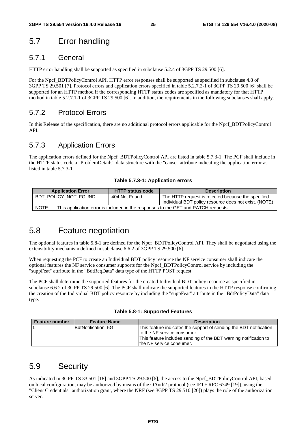# 5.7 Error handling

## 5.7.1 General

HTTP error handling shall be supported as specified in subclause 5.2.4 of 3GPP TS 29.500 [6].

For the Npcf\_BDTPolicyControl API, HTTP error responses shall be supported as specified in subclause 4.8 of 3GPP TS 29.501 [7]. Protocol errors and application errors specified in table 5.2.7.2-1 of 3GPP TS 29.500 [6] shall be supported for an HTTP method if the corresponding HTTP status codes are specified as mandatory for that HTTP method in table 5.2.7.1-1 of 3GPP TS 29.500 [6]. In addition, the requirements in the following subclauses shall apply.

# 5.7.2 Protocol Errors

In this Release of the specification, there are no additional protocol errors applicable for the Npcf\_BDTPolicyControl API.

# 5.7.3 Application Errors

The application errors defined for the Npcf\_BDTPolicyControl API are listed in table 5.7.3-1. The PCF shall include in the HTTP status code a "ProblemDetails" data structure with the "cause" attribute indicating the application error as listed in table 5.7.3-1.

#### **Table 5.7.3-1: Application errors**

| <b>Application Error</b>                                                                    | <b>HTTP status code</b> | <b>Description</b>                                    |  |  |  |  |
|---------------------------------------------------------------------------------------------|-------------------------|-------------------------------------------------------|--|--|--|--|
| BDT POLICY NOT FOUND                                                                        | 404 Not Found           | The HTTP request is rejected because the specified    |  |  |  |  |
|                                                                                             |                         | Individual BDT policy resource does not exist. (NOTE) |  |  |  |  |
| NOTE:<br>This application error is included in the responses to the GET and PATCH requests. |                         |                                                       |  |  |  |  |

# 5.8 Feature negotiation

The optional features in table 5.8-1 are defined for the Npcf\_BDTPolicyControl API. They shall be negotiated using the extensibility mechanism defined in subclause 6.6.2 of 3GPP TS 29.500 [6].

When requesting the PCF to create an Individual BDT policy resource the NF service consumer shall indicate the optional features the NF service consumer supports for the Npcf\_BDTPolicyControl service by including the "suppFeat" attribute in the "BdtReqData" data type of the HTTP POST request.

The PCF shall determine the supported features for the created Individual BDT policy resource as specified in subclause 6.6.2 of 3GPP TS 29.500 [6]. The PCF shall indicate the supported features in the HTTP response confirming the creation of the Individual BDT policy resource by including the "suppFeat" attribute in the "BdtPolicyData" data type.

|  |  | Table 5.8-1: Supported Features |  |
|--|--|---------------------------------|--|
|--|--|---------------------------------|--|

| <b>Feature number</b> | <b>Feature Name</b> | <b>Description</b>                                                 |
|-----------------------|---------------------|--------------------------------------------------------------------|
|                       | BdtNotification 5G  | This feature indicates the support of sending the BDT notification |
|                       |                     | to the NF service consumer.                                        |
|                       |                     | This feature includes sending of the BDT warning notification to   |
|                       |                     | the NF service consumer.                                           |

# 5.9 Security

As indicated in 3GPP TS 33.501 [18] and 3GPP TS 29.500 [6], the access to the Npcf\_BDTPolicyControl API, based on local configuration, may be authorized by means of the OAuth2 protocol (see IETF RFC 6749 [19]), using the "Client Credentials" authorization grant, where the NRF (see 3GPP TS 29.510 [20]) plays the role of the authorization server.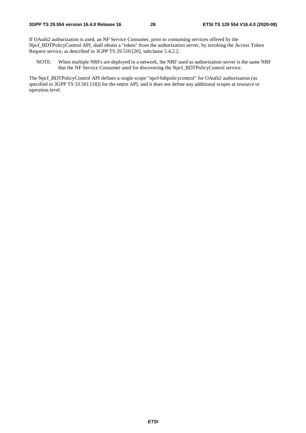If OAuth2 authorization is used, an NF Service Consumer, prior to consuming services offered by the Npcf\_BDTPolicyControl API, shall obtain a "token" from the authorization server, by invoking the Access Token Request service, as described in 3GPP TS 29.510 [20], subclause 5.4.2.2.

NOTE: When multiple NRFs are deployed in a network, the NRF used as authorization server is the same NRF that the NF Service Consumer used for discovering the Npcf\_BDTPolicyControl service.

The Npcf\_BDTPolicyControl API defines a single scope "npcf-bdtpolicycontrol" for OAuth2 authorization (as specified in 3GPP TS 33.501 [18]) for the entire API, and it does not define any additional scopes at resource or operation level.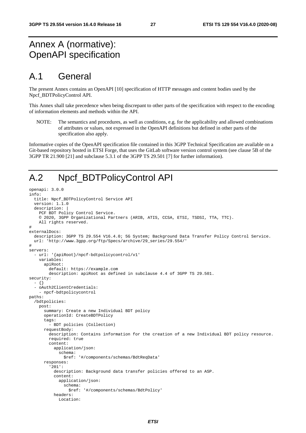# Annex A (normative): OpenAPI specification

# A.1 General

The present Annex contains an OpenAPI [10] specification of HTTP messages and content bodies used by the Npcf\_BDTPolicyControl API.

This Annex shall take precedence when being discrepant to other parts of the specification with respect to the encoding of information elements and methods within the API.

NOTE: The semantics and procedures, as well as conditions, e.g. for the applicability and allowed combinations of attributes or values, not expressed in the OpenAPI definitions but defined in other parts of the specification also apply.

Informative copies of the OpenAPI specification file contained in this 3GPP Technical Specification are available on a Git-based repository hosted in ETSI Forge, that uses the GitLab software version control system (see clause 5B of the 3GPP TR 21.900 [21] and subclause 5.3.1 of the 3GPP TS 29.501 [7] for further information).

# A.2 Npcf\_BDTPolicyControl API

```
openapi: 3.0.0 
info: 
   title: Npcf_BDTPolicyControl Service API 
   version: 1.1.0 
   description: | 
     PCF BDT Policy Control Service. 
     © 2020, 3GPP Organizational Partners (ARIB, ATIS, CCSA, ETSI, TSDSI, TTA, TTC). 
     All rights reserved. 
# 
externalDocs: 
   description: 3GPP TS 29.554 V16.4.0; 5G System; Background Data Transfer Policy Control Service. 
   url: 'http://www.3gpp.org/ftp/Specs/archive/29_series/29.554/' 
# 
servers: 
   - url: '{apiRoot}/npcf-bdtpolicycontrol/v1' 
     variables: 
       apiRoot: 
         default: https://example.com 
         description: apiRoot as defined in subclause 4.4 of 3GPP TS 29.501. 
security: 
   - {} 
   - oAuth2ClientCredentials: 
     - npcf-bdtpolicycontrol 
paths: 
   /bdtpolicies: 
     post: 
       summary: Create a new Individual BDT policy 
       operationId: CreateBDTPolicy 
       tags: 
         - BDT policies (Collection) 
       requestBody: 
         description: Contains information for the creation of a new Individual BDT policy resource. 
         required: true 
         content: 
           application/json: 
              schema: 
                $ref: '#/components/schemas/BdtReqData' 
       responses: 
          '201': 
           description: Background data transfer policies offered to an ASP. 
            content: 
              application/json: 
                schema: 
                  $ref: '#/components/schemas/BdtPolicy' 
           headers: 
              Location:
```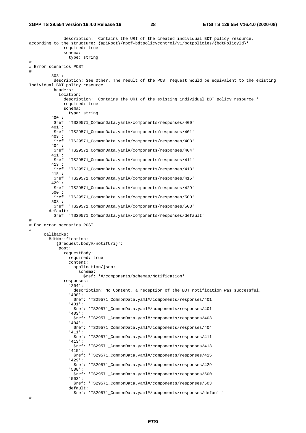#### **3GPP TS 29.554 version 16.4.0 Release 16 28 ETSI TS 129 554 V16.4.0 (2020-08)**

```
 description: 'Contains the URI of the created individual BDT policy resource, 
according to the structure: {apiRoot}/npcf-bdtpolicycontrol/v1/bdtpolicies/{bdtPolicyId}' 
                required: true 
                schema: 
                  type: string 
# 
# Error scenarios POST 
# 
          '303': 
           description: See Other. The result of the POST request would be equivalent to the existing 
Individual BDT policy resource. 
           headers: 
              Location: 
                description: 'Contains the URI of the existing individual BDT policy resource.' 
                required: true 
                schema: 
                  type: string 
          '400': 
           $ref: 'TS29571_CommonData.yaml#/components/responses/400' 
          '401': 
           $ref: 'TS29571_CommonData.yaml#/components/responses/401' 
          '403': 
            $ref: 'TS29571_CommonData.yaml#/components/responses/403' 
          '404': 
           $ref: 'TS29571_CommonData.yaml#/components/responses/404' 
          '411': 
           $ref: 'TS29571_CommonData.yaml#/components/responses/411' 
          '413': 
           $ref: 'TS29571_CommonData.yaml#/components/responses/413' 
          '415': 
           $ref: 'TS29571_CommonData.yaml#/components/responses/415' 
          '429': 
            $ref: 'TS29571_CommonData.yaml#/components/responses/429' 
          '500': 
           $ref: 'TS29571_CommonData.yaml#/components/responses/500' 
          '503': 
           $ref: 'TS29571_CommonData.yaml#/components/responses/503' 
         default: 
           $ref: 'TS29571_CommonData.yaml#/components/responses/default' 
\begin{array}{c} \# \\ \# \end{array}End error scenarios POST
# 
       callbacks: 
          BdtNotification: 
            '{$request.body#/notifUri}': 
              post: 
                requestBody: 
                  required: true 
                  content: 
                    application/json: 
                      schema: 
                        $ref: '#/components/schemas/Notification' 
                responses: 
                   '204': 
                    description: No Content, a reception of the BDT notification was successful. 
                   '400': 
                    $ref: 'TS29571_CommonData.yaml#/components/responses/401' 
                   '401': 
                    $ref: 'TS29571_CommonData.yaml#/components/responses/401' 
                   '403': 
                    $ref: 'TS29571_CommonData.yaml#/components/responses/403' 
                   '404': 
                    $ref: 'TS29571_CommonData.yaml#/components/responses/404' 
                   '411': 
                    $ref: 'TS29571_CommonData.yaml#/components/responses/411' 
                   '413': 
                    $ref: 'TS29571_CommonData.yaml#/components/responses/413' 
                   '415': 
                    $ref: 'TS29571_CommonData.yaml#/components/responses/415' 
                   '429': 
                     $ref: 'TS29571_CommonData.yaml#/components/responses/429' 
                   '500': 
                    $ref: 'TS29571_CommonData.yaml#/components/responses/500' 
                   '503': 
                    $ref: 'TS29571_CommonData.yaml#/components/responses/503' 
                  default: 
                    $ref: 'TS29571_CommonData.yaml#/components/responses/default' 
#
```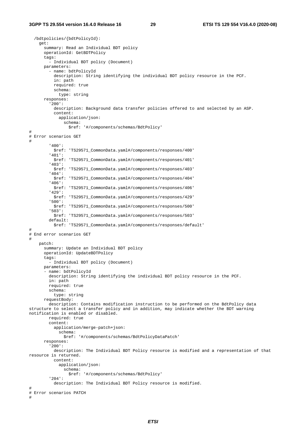```
 /bdtpolicies/{bdtPolicyId}: 
     get: 
       summary: Read an Individual BDT policy 
       operationId: GetBDTPolicy 
       tags: 
         - Individual BDT policy (Document) 
       parameters: 
         - name: bdtPolicyId 
           description: String identifying the individual BDT policy resource in the PCF. 
           in: path 
           required: true 
           schema: 
             type: string 
       responses: 
          '200': 
           description: Background data transfer policies offered to and selected by an ASP. 
           content: 
              application/json: 
               schema: 
                  $ref: '#/components/schemas/BdtPolicy' 
# 
# Error scenarios GET 
# 
         '400': 
           $ref: 'TS29571_CommonData.yaml#/components/responses/400' 
          '401': 
           $ref: 'TS29571_CommonData.yaml#/components/responses/401' 
          '403': 
           $ref: 'TS29571_CommonData.yaml#/components/responses/403' 
          '404': 
           $ref: 'TS29571_CommonData.yaml#/components/responses/404' 
          '406': 
           $ref: 'TS29571_CommonData.yaml#/components/responses/406' 
          '429': 
           $ref: 'TS29571_CommonData.yaml#/components/responses/429' 
          '500': 
           $ref: 'TS29571_CommonData.yaml#/components/responses/500' 
          '503': 
           $ref: 'TS29571_CommonData.yaml#/components/responses/503' 
         default: 
           $ref: 'TS29571_CommonData.yaml#/components/responses/default' 
# 
# End error scenarios GET 
# 
     patch: 
       summary: Update an Individual BDT policy 
       operationId: UpdateBDTPolicy 
       tags: 
          - Individual BDT policy (Document) 
       parameters: 
       - name: bdtPolicyId 
         description: String identifying the individual BDT policy resource in the PCF. 
         in: path 
         required: true 
         schema: 
           type: string 
       requestBody: 
         description: Contains modification instruction to be performed on the BdtPolicy data 
structure to select a transfer policy and in addition, may indicate whether the BDT warning 
notification is enabled or disabled. 
         required: true 
         content: 
           application/merge-patch+json: 
              schema: 
                $ref: '#/components/schemas/BdtPolicyDataPatch' 
       responses: 
          '200': 
           description: The Individual BDT Policy resource is modified and a representation of that 
resource is returned. 
           content: 
             application/json: 
                schema: 
                  $ref: '#/components/schemas/BdtPolicy' 
          '204': 
           description: The Individual BDT Policy resource is modified. 
# 
# Error scenarios PATCH 
#
```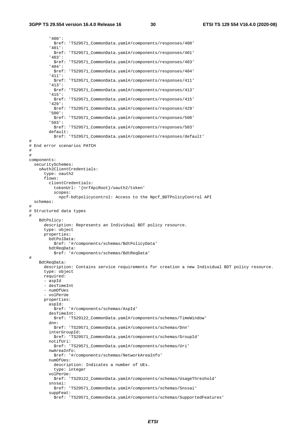'400': \$ref: 'TS29571\_CommonData.yaml#/components/responses/400' '401': \$ref: 'TS29571\_CommonData.yaml#/components/responses/401' '403': \$ref: 'TS29571\_CommonData.yaml#/components/responses/403' '404': \$ref: 'TS29571\_CommonData.yaml#/components/responses/404' '411': \$ref: 'TS29571\_CommonData.yaml#/components/responses/411' '413': \$ref: 'TS29571\_CommonData.yaml#/components/responses/413' '415': \$ref: 'TS29571\_CommonData.yaml#/components/responses/415' '429': \$ref: 'TS29571\_CommonData.yaml#/components/responses/429' '500': \$ref: 'TS29571\_CommonData.yaml#/components/responses/500' '503': \$ref: 'TS29571\_CommonData.yaml#/components/responses/503' default: \$ref: 'TS29571\_CommonData.yaml#/components/responses/default' # # End error scenarios PATCH # # components: securitySchemes: oAuth2ClientCredentials: type: oauth2 flows: clientCredentials: tokenUrl: '{nrfApiRoot}/oauth2/token' scopes: npcf-bdtpolicycontrol: Access to the Npcf\_BDTPolicyControl API schemas: # # Structured data types # BdtPolicy: description: Represents an Individual BDT policy resource. type: object properties: bdtPolData: \$ref: '#/components/schemas/BdtPolicyData' bdtReqData: \$ref: '#/components/schemas/BdtReqData' # BdtReqData: description: Contains service requirements for creation a new Individual BDT policy resource. type: object required: - aspId - desTimeInt - numOfUes - volPerUe properties: aspId: \$ref: '#/components/schemas/AspId' desTimeInt: \$ref: 'TS29122\_CommonData.yaml#/components/schemas/TimeWindow' dnn: \$ref: 'TS29571\_CommonData.yaml#/components/schemas/Dnn' interGroupId: \$ref: 'TS29571\_CommonData.yaml#/components/schemas/GroupId' notifUri: \$ref: 'TS29571\_CommonData.yaml#/components/schemas/Uri' nwAreaInfo: \$ref: '#/components/schemas/NetworkAreaInfo' numOfUes: description: Indicates a number of UEs. type: integer volPerUe: \$ref: 'TS29122\_CommonData.yaml#/components/schemas/UsageThreshold' snssai: \$ref: 'TS29571\_CommonData.yaml#/components/schemas/Snssai' suppFeat: \$ref: 'TS29571\_CommonData.yaml#/components/schemas/SupportedFeatures'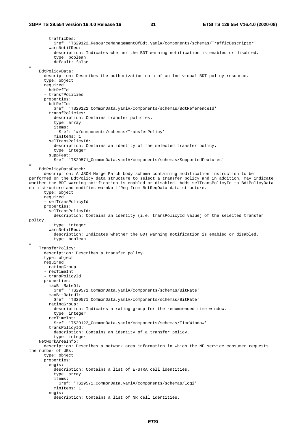trafficDes: \$ref: 'TS29122\_ResourceManagementOfBdt.yaml#/components/schemas/TrafficDescriptor' warnNotifReq: description: Indicates whether the BDT warning notification is enabled or disabled. type: boolean default: false # BdtPolicyData: description: Describes the authorization data of an Individual BDT policy resource. type: object required: - bdtRefId - transfPolicies properties: bdtRefId: \$ref: 'TS29122\_CommonData.yaml#/components/schemas/BdtReferenceId' transfPolicies: description: Contains transfer policies. type: array items: \$ref: '#/components/schemas/TransferPolicy' minItems: 1 selTransPolicyId: description: Contains an identity of the selected transfer policy. type: integer suppFeat: \$ref: 'TS29571\_CommonData.yaml#/components/schemas/SupportedFeatures' # BdtPolicyDataPatch: description: A JSON Merge Patch body schema containing modification instruction to be performed on the BdtPolicy data structure to select a transfer policy and in addition, may indicate whether the BDT warning notification is enabled or disabled. Adds selTransPolicyId to BdtPolicyData data structure and modifies warnNotifReq from BdtReqData data structure. type: object required: - selTransPolicyId properties: selTransPolicyId: description: Contains an identity (i.e. transPolicyId value) of the selected transfer policy. type: integer warnNotifReq: description: Indicates whether the BDT warning notification is enabled or disabled. type: boolean # TransferPolicy: description: Describes a transfer policy. type: object required: - ratingGroup - recTimeInt - transPolicyId properties: maxBitRateDl: \$ref: 'TS29571\_CommonData.yaml#/components/schemas/BitRate' maxBitRateUl: \$ref: 'TS29571\_CommonData.yaml#/components/schemas/BitRate' ratingGroup: description: Indicates a rating group for the recommended time window. type: integer recTimeInt: \$ref: 'TS29122\_CommonData.yaml#/components/schemas/TimeWindow' transPolicyId: description: Contains an identity of a transfer policy. type: integer NetworkAreaInfo: description: Describes a network area information in which the NF service consumer requests the number of UEs. type: object properties: ecgis: description: Contains a list of E-UTRA cell identities. type: array items: \$ref: 'TS29571\_CommonData.yaml#/components/schemas/Ecgi' minItems: 1 ncgis: description: Contains a list of NR cell identities.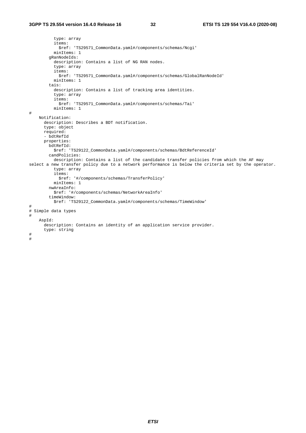type: array items: \$ref: 'TS29571\_CommonData.yaml#/components/schemas/Ncgi' minItems: 1 gRanNodeIds: description: Contains a list of NG RAN nodes. type: array items: \$ref: 'TS29571\_CommonData.yaml#/components/schemas/GlobalRanNodeId' minItems: 1 tais: description: Contains a list of tracking area identities. type: array items: \$ref: 'TS29571\_CommonData.yaml#/components/schemas/Tai' minItems: 1 # Notification: description: Describes a BDT notification. type: object required: - bdtRefId properties: bdtRefId: \$ref: 'TS29122\_CommonData.yaml#/components/schemas/BdtReferenceId' candPolicies: description: Contains a list of the candidate transfer policies from which the AF may select a new transfer policy due to a network performance is below the criteria set by the operator. type: array items: \$ref: '#/components/schemas/TransferPolicy' minItems: 1 nwAreaInfo: \$ref: '#/components/schemas/NetworkAreaInfo' timeWindow: \$ref: 'TS29122\_CommonData.yaml#/components/schemas/TimeWindow' # # Simple data types # AspId: description: Contains an identity of an application service provider. type: string # #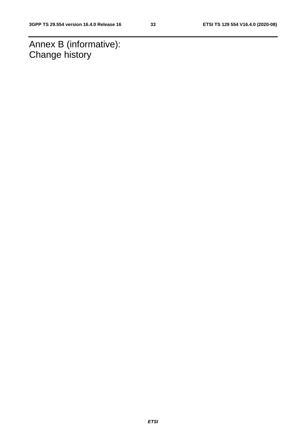Annex B (informative): Change history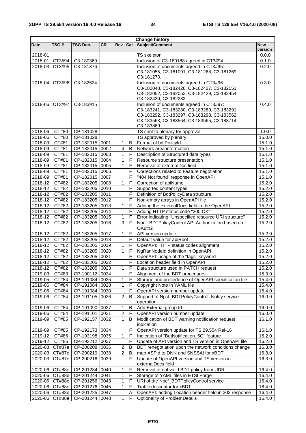| <b>Change history</b> |                    |                |           |                |                |                                                                   |            |
|-----------------------|--------------------|----------------|-----------|----------------|----------------|-------------------------------------------------------------------|------------|
| <b>Date</b>           | TSG #              | TSG Doc.       | <b>CR</b> | <b>Rev</b>     | Cat            | Subject/Comment                                                   | <b>New</b> |
|                       |                    |                |           |                |                |                                                                   | version    |
| 2018-01               |                    |                |           |                |                | <b>TS</b> skeleton                                                | 0.0.0      |
|                       | 2018-01 CT3#94     | C3-180369      |           |                |                | Inclusion of C3-180188 agreed in CT3#94.                          | 0.1.0      |
|                       | 2018-03 CT3#95     | C3-181376      |           |                |                | Inclusion of documents agreed in CT3#95:                          | 0.2.0      |
|                       |                    |                |           |                |                | C3-181055, C3-181091, C3-181268, C3-181269,                       |            |
|                       |                    |                |           |                |                | C3-181270.                                                        |            |
| 2018-04               | CT3#96             | C3-182524      |           |                |                | Inclusion of documents agreed in CT3#96:                          | 0.3.0      |
|                       |                    |                |           |                |                | C3-182048, C3-182428, C3-182427, C3-182051,                       |            |
|                       |                    |                |           |                |                | C3-182052, C3-182053, C3-182429, C3-182454,                       |            |
|                       |                    |                |           |                |                | C3-182430, C3-182232.                                             |            |
| 2018-06               | CT3#97             | C3-183915      |           |                |                | Inclusion of documents agreed in CT3#97:                          | 0.4.0      |
|                       |                    |                |           |                |                | C3-183241, C3-183280, C3-183289, C3-183291,                       |            |
|                       |                    |                |           |                |                | C3-183292, C3-183297, C3-183298, C3-183562,                       |            |
|                       |                    |                |           |                |                | C3-183563, C3-183564, C3-183565, C3-183714,                       |            |
|                       |                    |                |           |                |                | C3-183869.                                                        |            |
| 2018-06               | CT#80              | CP-181028      |           |                |                | TS sent to plenary for approval                                   | 1.0.0      |
| 2018-06               | CT#80              | CP-181028      |           |                |                | TS approved by plenary                                            | 15.0.0     |
| 2018-09               | CT#81              | CP-182015 0001 |           | 1              | В              | Format of bdtPolicyId                                             | 15.1.0     |
| 2018-09               | CT#81              | CP-182015 0002 |           | 4              | B              | Network area information                                          | 15.1.0     |
| 2018-09               | CT#81              | CP-182015 0003 |           | 1              | F              | Description of Structured data types                              | 15.1.0     |
| 2018-09               | CT#81              | CP-182015 0004 |           | 1              | F              | Resource structure presentation                                   | 15.1.0     |
| 2018-09               | CT#81              | CP-182015 0005 |           | 1              | F              | Removal of externalDoc field                                      | 15.1.0     |
| $2018 - 09$           | CT#81              | CP-182015 0006 |           |                | F              | Corrections related to Feature negotiation                        | 15.1.0     |
| $2018 - 09$           | CT#81              | CP-182015 0007 |           |                | F              | "404 Not found" response in OpenAPI                               | 15.1.0     |
| 2018-12               | CT#82              | CP-183205 0008 |           | 1              | F              | Correction of apiName                                             | 15.2.0     |
| 2018-12               | CT#82              | CP-183205 0010 |           |                | F              | Supported content types                                           | 15.2.0     |
| 2018-12               | CT#82              | CP-183205 0011 |           |                | F              | Definition of BdtPolicyData structure                             | 15.2.0     |
| 2018-12               | CT#82              | CP-183205 0012 |           |                | F              | Non-empty arrays in OpenAPI file                                  | 15.2.0     |
| 2018-12               | CT#82              | CP-183205 0013 |           | 1              | $\mathsf F$    | Adding the externalDocs field in the OpenAPI                      | 15.2.0     |
| 2018-12               | CT#82              | CP-183205 0014 |           |                | F              | Adding HTTP status code "200 OK"                                  | 15.2.0     |
| 2018-12               | CT#82              | CP-183205 0015 |           | 1              | F              | Error indicating "Unspecified resource URI structure"             | 15.2.0     |
| 2018-12               | CT#82              | CP-183205      | 0016      | $\overline{3}$ | F              | Npcf_BDTPolicyControl API Authorization based on                  | 15.2.0     |
|                       |                    |                |           |                |                | OAuth2                                                            |            |
| 2018-12               | CT#82              | CP-183205      | 0017      | 1              | F              | API version update                                                | 15.2.0     |
| 2018-12               | CT#82              | CP-183205 0018 |           |                | F              | Default value for apiRoot                                         | 15.2.0     |
| $2018 - 12$           | CT#82              | CP-183205 0019 |           | 1              | F              | OpenAPI: HTTP status codes alignment                              | 15.2.0     |
| $2018 - 12$           | CT#82              | CP-183205 0020 |           | $\mathbf{1}$   | F.             | NgRanNodeld definition in OpenAPI                                 | 15.2.0     |
| 2018-12   CT#82       |                    | CP-183205 0021 |           |                | F              | OpenAPI: usage of the "tags" keyword                              | 15.2.0     |
| 2018-12               | CT#82              | CP-183205 0022 |           |                | F              | Location header field in OpenAPI                                  | 15.2.0     |
| $2018 - 12$           | CT#82              | CP-183205 0023 |           | 1              | F              | Data structure used in PATCH request                              | 15.2.0     |
| 2019-03               | CT#83              | CP-190112      | 0024      |                | F              | Alignment of the BDT procedures                                   | 15.3.0     |
| 2019-05               | CT#84              | CP-191084      | 0025      | 1              | F              | Storage and precedence of OpenAPI specification file              | 15.4.0     |
| 2019-06               | CT#84              | CP-191084      | 0028      | 1              | F              | Copyright Note in YAML file                                       | 15.4.0     |
| 2019-06               | CT#84              | CP-191084      | 0030      |                | F              | OpenAPI version number update                                     | 15.4.0     |
| 2019-06               | CT#84              | CP-191105      | 0026      | 2              | B              | Support of Npcf_BDTPolicyControl_Notify service                   | 16.0.0     |
|                       |                    |                |           |                |                | operation                                                         |            |
| 2019-06               | CT#84              | CP-191090      | 0027      | 1              | B              | Add External group Id                                             | 16.0.0     |
| 2019-06               | $\overline{CT#84}$ | CP-191101      | 0031      | 2              | F              | OpenAPI version number update                                     | 16.0.0     |
| 2019-09               | CT#85              | CP-192157      | 0032      | 1              | В              | Modification of BDT warning notification request                  | 16.1.0     |
|                       |                    |                |           |                |                | indication                                                        |            |
| 2019-09               | CT#85              | CP-192173      | 0034      |                | F              | OpenAPI version update for TS 29.554 Rel-16                       | 16.1.0     |
| 2019-12               | CT#86              | CP-193198      | 0035      | 1              | F              | Indication of "BdtNotification_5G" feature                        | 16.2.0     |
| 2019-12               | CT#86              | CP-193212      | 0037      |                | $\overline{F}$ | Update of API version and TS version in OpenAPI file              | 16.2.0     |
|                       | 2020-03 CT#87e     | CP-200208      | 0036      | $\overline{c}$ | B              | BDT renegotiation upon the network conditions change              | 16.3.0     |
|                       | 2020-03 CT#87e     | CP-200219      | 0038      | $\overline{c}$ | B              | map ASPid to DNN and SNSSAI for xBDT                              | 16.3.0     |
|                       |                    |                |           |                | F              |                                                                   | 16.3.0     |
| 2020-03               | CT#87e             | CP-200216      | 0039      |                |                | Update of OpenAPI version and TS version in<br>externalDocs field |            |
|                       | 2020-06 CT#88e     |                | 0040      | 1              | F              | Removal of not valid BDT policy from UDR                          | 16.4.0     |
|                       |                    | CP-201234      |           |                |                |                                                                   |            |
|                       | 2020-06 CT#88e     | CP-201244      | 0041      | 1              | F              | Storage of YAML files in ETSI Forge                               | 16.4.0     |
|                       | 2020-06 CT#88e     | CP-201256      | 0043      | 1              | F              | URI of the Npcf_BDTPolicyControl service                          | 16.4.0     |
|                       | 2020-06 CT#88e     | CP-201276      | 0045      | 1              | F              | Traffic descriptor for xBDT                                       | 16.4.0     |
|                       | 2020-06 CT#88e     | CP-201225 0047 |           |                | Α              | OpenAPI: adding Location header field in 303 response             | 16.4.0     |
| 2020-06               | CT#88e             | CP-201244      | 0048      | 1              |                | Optionality of ProblemDetails                                     | 16.4.0     |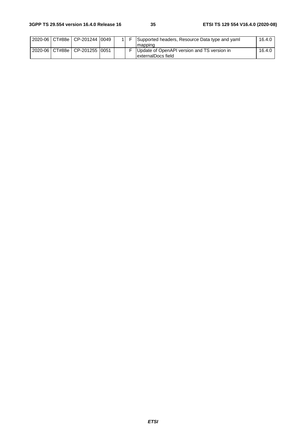|  | 2020-06 CT#88e CP-201244 0049       |  | Supported headers, Resource Data type and yaml<br>Imapping        | 16.4.0 |
|--|-------------------------------------|--|-------------------------------------------------------------------|--------|
|  | 2020-06   CT#88e   CP-201255   0051 |  | Update of OpenAPI version and TS version in<br>externalDocs field | 16.4.0 |